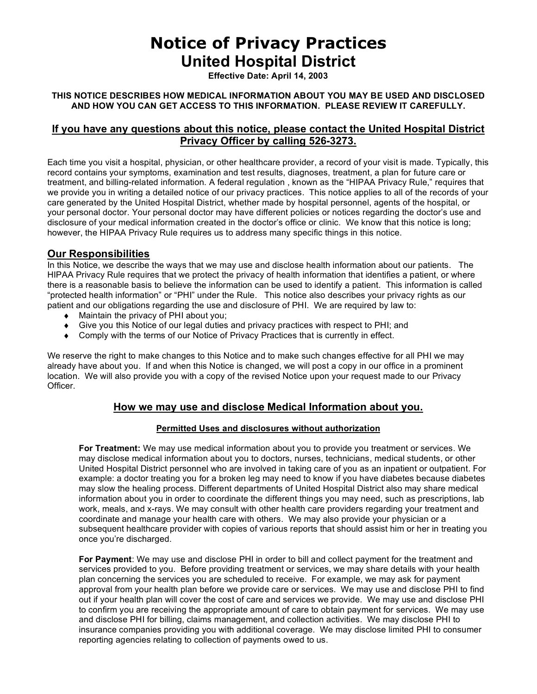# **Notice of Privacy Practices United Hospital District**

**Effective Date: April 14, 2003** 

#### **THIS NOTICE DESCRIBES HOW MEDICAL INFORMATION ABOUT YOU MAY BE USED AND DISCLOSED AND HOW YOU CAN GET ACCESS TO THIS INFORMATION. PLEASE REVIEW IT CAREFULLY.**

### **If you have any questions about this notice, please contact the United Hospital District Privacy Officer by calling 526-3273.**

Each time you visit a hospital, physician, or other healthcare provider, a record of your visit is made. Typically, this record contains your symptoms, examination and test results, diagnoses, treatment, a plan for future care or treatment, and billing-related information. A federal regulation , known as the "HIPAA Privacy Rule," requires that we provide you in writing a detailed notice of our privacy practices. This notice applies to all of the records of your care generated by the United Hospital District, whether made by hospital personnel, agents of the hospital, or your personal doctor. Your personal doctor may have different policies or notices regarding the doctor's use and disclosure of your medical information created in the doctor's office or clinic. We know that this notice is long; however, the HIPAA Privacy Rule requires us to address many specific things in this notice.

#### **Our Responsibilities**

In this Notice, we describe the ways that we may use and disclose health information about our patients. The HIPAA Privacy Rule requires that we protect the privacy of health information that identifies a patient, or where there is a reasonable basis to believe the information can be used to identify a patient. This information is called "protected health information" or "PHI" under the Rule. This notice also describes your privacy rights as our patient and our obligations regarding the use and disclosure of PHI. We are required by law to:

- ♦ Maintain the privacy of PHI about you;
- ♦ Give you this Notice of our legal duties and privacy practices with respect to PHI; and
- ◆ Comply with the terms of our Notice of Privacy Practices that is currently in effect.

We reserve the right to make changes to this Notice and to make such changes effective for all PHI we may already have about you. If and when this Notice is changed, we will post a copy in our office in a prominent location. We will also provide you with a copy of the revised Notice upon your request made to our Privacy Officer.

### **How we may use and disclose Medical Information about you.**

#### **Permitted Uses and disclosures without authorization**

**For Treatment:** We may use medical information about you to provide you treatment or services. We may disclose medical information about you to doctors, nurses, technicians, medical students, or other United Hospital District personnel who are involved in taking care of you as an inpatient or outpatient. For example: a doctor treating you for a broken leg may need to know if you have diabetes because diabetes may slow the healing process. Different departments of United Hospital District also may share medical information about you in order to coordinate the different things you may need, such as prescriptions, lab work, meals, and x-rays. We may consult with other health care providers regarding your treatment and coordinate and manage your health care with others. We may also provide your physician or a subsequent healthcare provider with copies of various reports that should assist him or her in treating you once you're discharged.

**For Payment**: We may use and disclose PHI in order to bill and collect payment for the treatment and services provided to you. Before providing treatment or services, we may share details with your health plan concerning the services you are scheduled to receive. For example, we may ask for payment approval from your health plan before we provide care or services. We may use and disclose PHI to find out if your health plan will cover the cost of care and services we provide. We may use and disclose PHI to confirm you are receiving the appropriate amount of care to obtain payment for services. We may use and disclose PHI for billing, claims management, and collection activities. We may disclose PHI to insurance companies providing you with additional coverage. We may disclose limited PHI to consumer reporting agencies relating to collection of payments owed to us.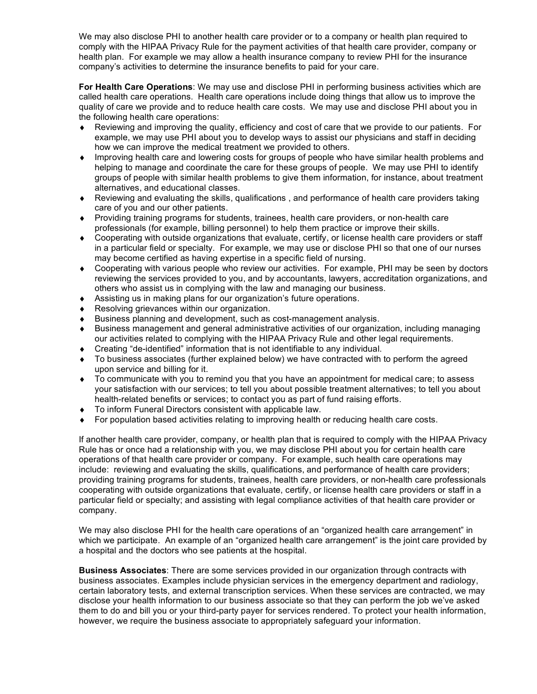We may also disclose PHI to another health care provider or to a company or health plan required to comply with the HIPAA Privacy Rule for the payment activities of that health care provider, company or health plan. For example we may allow a health insurance company to review PHI for the insurance company's activities to determine the insurance benefits to paid for your care.

**For Health Care Operations**: We may use and disclose PHI in performing business activities which are called health care operations. Health care operations include doing things that allow us to improve the quality of care we provide and to reduce health care costs. We may use and disclose PHI about you in the following health care operations:

- Reviewing and improving the quality, efficiency and cost of care that we provide to our patients. For example, we may use PHI about you to develop ways to assist our physicians and staff in deciding how we can improve the medical treatment we provided to others.
- ♦ Improving health care and lowering costs for groups of people who have similar health problems and helping to manage and coordinate the care for these groups of people. We may use PHI to identify groups of people with similar health problems to give them information, for instance, about treatment alternatives, and educational classes.
- ♦ Reviewing and evaluating the skills, qualifications , and performance of health care providers taking care of you and our other patients.
- ♦ Providing training programs for students, trainees, health care providers, or non-health care professionals (for example, billing personnel) to help them practice or improve their skills.
- ♦ Cooperating with outside organizations that evaluate, certify, or license health care providers or staff in a particular field or specialty. For example, we may use or disclose PHI so that one of our nurses may become certified as having expertise in a specific field of nursing.
- ♦ Cooperating with various people who review our activities. For example, PHI may be seen by doctors reviewing the services provided to you, and by accountants, lawyers, accreditation organizations, and others who assist us in complying with the law and managing our business.
- ♦ Assisting us in making plans for our organization's future operations.
- ♦ Resolving grievances within our organization.
- Business planning and development, such as cost-management analysis.
- ♦ Business management and general administrative activities of our organization, including managing our activities related to complying with the HIPAA Privacy Rule and other legal requirements.
- ♦ Creating "de-identified" information that is not identifiable to any individual.
- To business associates (further explained below) we have contracted with to perform the agreed upon service and billing for it.
- ♦ To communicate with you to remind you that you have an appointment for medical care; to assess your satisfaction with our services; to tell you about possible treatment alternatives; to tell you about health-related benefits or services; to contact you as part of fund raising efforts.
- To inform Funeral Directors consistent with applicable law.
- ♦ For population based activities relating to improving health or reducing health care costs.

If another health care provider, company, or health plan that is required to comply with the HIPAA Privacy Rule has or once had a relationship with you, we may disclose PHI about you for certain health care operations of that health care provider or company. For example, such health care operations may include: reviewing and evaluating the skills, qualifications, and performance of health care providers; providing training programs for students, trainees, health care providers, or non-health care professionals cooperating with outside organizations that evaluate, certify, or license health care providers or staff in a particular field or specialty; and assisting with legal compliance activities of that health care provider or company.

We may also disclose PHI for the health care operations of an "organized health care arrangement" in which we participate. An example of an "organized health care arrangement" is the joint care provided by a hospital and the doctors who see patients at the hospital.

**Business Associates**: There are some services provided in our organization through contracts with business associates. Examples include physician services in the emergency department and radiology, certain laboratory tests, and external transcription services. When these services are contracted, we may disclose your health information to our business associate so that they can perform the job we've asked them to do and bill you or your third-party payer for services rendered. To protect your health information, however, we require the business associate to appropriately safeguard your information.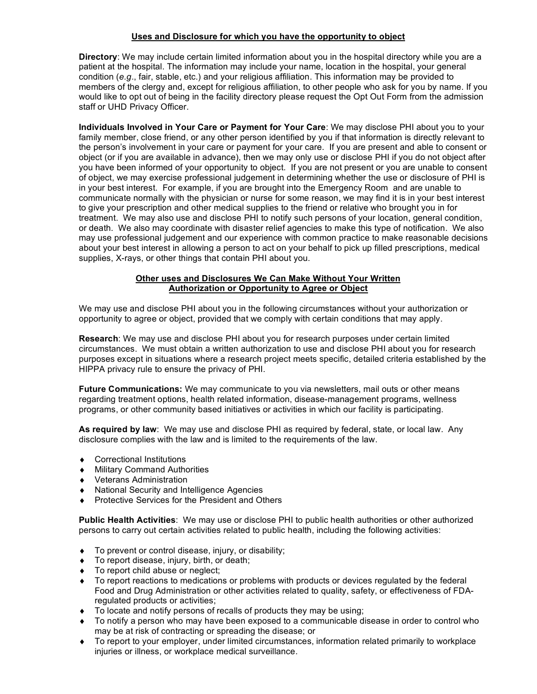#### **Uses and Disclosure for which you have the opportunity to object**

**Directory**: We may include certain limited information about you in the hospital directory while you are a patient at the hospital. The information may include your name, location in the hospital, your general condition (*e.g*., fair, stable, etc.) and your religious affiliation. This information may be provided to members of the clergy and, except for religious affiliation, to other people who ask for you by name. If you would like to opt out of being in the facility directory please request the Opt Out Form from the admission staff or UHD Privacy Officer.

**Individuals Involved in Your Care or Payment for Your Care**: We may disclose PHI about you to your family member, close friend, or any other person identified by you if that information is directly relevant to the person's involvement in your care or payment for your care. If you are present and able to consent or object (or if you are available in advance), then we may only use or disclose PHI if you do not object after you have been informed of your opportunity to object. If you are not present or you are unable to consent of object, we may exercise professional judgement in determining whether the use or disclosure of PHI is in your best interest. For example, if you are brought into the Emergency Room and are unable to communicate normally with the physician or nurse for some reason, we may find it is in your best interest to give your prescription and other medical supplies to the friend or relative who brought you in for treatment. We may also use and disclose PHI to notify such persons of your location, general condition, or death. We also may coordinate with disaster relief agencies to make this type of notification. We also may use professional judgement and our experience with common practice to make reasonable decisions about your best interest in allowing a person to act on your behalf to pick up filled prescriptions, medical supplies, X-rays, or other things that contain PHI about you.

#### **Other uses and Disclosures We Can Make Without Your Written Authorization or Opportunity to Agree or Object**

We may use and disclose PHI about you in the following circumstances without your authorization or opportunity to agree or object, provided that we comply with certain conditions that may apply.

**Research**: We may use and disclose PHI about you for research purposes under certain limited circumstances. We must obtain a written authorization to use and disclose PHI about you for research purposes except in situations where a research project meets specific, detailed criteria established by the HIPPA privacy rule to ensure the privacy of PHI.

**Future Communications:** We may communicate to you via newsletters, mail outs or other means regarding treatment options, health related information, disease-management programs, wellness programs, or other community based initiatives or activities in which our facility is participating.

**As required by law**: We may use and disclose PHI as required by federal, state, or local law. Any disclosure complies with the law and is limited to the requirements of the law.

- ♦ Correctional Institutions
- ♦ Military Command Authorities
- ♦ Veterans Administration
- ♦ National Security and Intelligence Agencies
- ♦ Protective Services for the President and Others

**Public Health Activities**: We may use or disclose PHI to public health authorities or other authorized persons to carry out certain activities related to public health, including the following activities:

- ♦ To prevent or control disease, injury, or disability;
- ♦ To report disease, injury, birth, or death;
- ♦ To report child abuse or neglect;
- To report reactions to medications or problems with products or devices regulated by the federal Food and Drug Administration or other activities related to quality, safety, or effectiveness of FDAregulated products or activities;
- ♦ To locate and notify persons of recalls of products they may be using;
- ♦ To notify a person who may have been exposed to a communicable disease in order to control who may be at risk of contracting or spreading the disease; or
- ♦ To report to your employer, under limited circumstances, information related primarily to workplace injuries or illness, or workplace medical surveillance.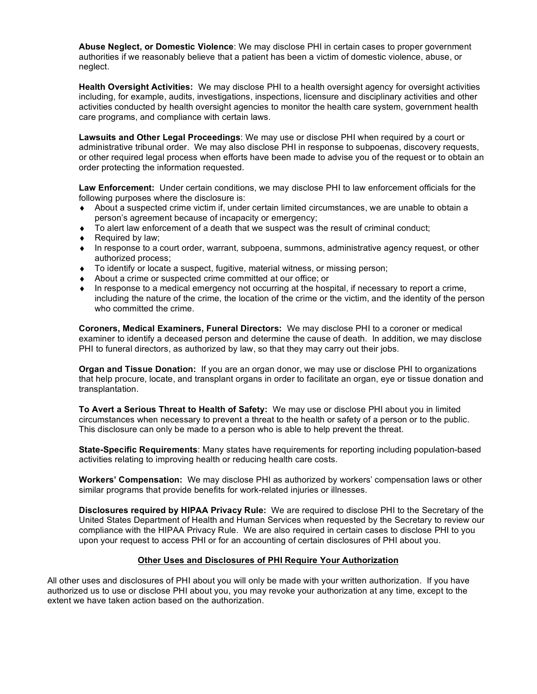**Abuse Neglect, or Domestic Violence**: We may disclose PHI in certain cases to proper government authorities if we reasonably believe that a patient has been a victim of domestic violence, abuse, or neglect.

**Health Oversight Activities:** We may disclose PHI to a health oversight agency for oversight activities including, for example, audits, investigations, inspections, licensure and disciplinary activities and other activities conducted by health oversight agencies to monitor the health care system, government health care programs, and compliance with certain laws.

**Lawsuits and Other Legal Proceedings**: We may use or disclose PHI when required by a court or administrative tribunal order. We may also disclose PHI in response to subpoenas, discovery requests, or other required legal process when efforts have been made to advise you of the request or to obtain an order protecting the information requested.

**Law Enforcement:** Under certain conditions, we may disclose PHI to law enforcement officials for the following purposes where the disclosure is:

- ♦ About a suspected crime victim if, under certain limited circumstances, we are unable to obtain a person's agreement because of incapacity or emergency;
- ♦ To alert law enforcement of a death that we suspect was the result of criminal conduct;
- ◆ Required by law;
- ♦ In response to a court order, warrant, subpoena, summons, administrative agency request, or other authorized process;
- ♦ To identify or locate a suspect, fugitive, material witness, or missing person;
- ♦ About a crime or suspected crime committed at our office; or
- ♦ In response to a medical emergency not occurring at the hospital, if necessary to report a crime, including the nature of the crime, the location of the crime or the victim, and the identity of the person who committed the crime.

**Coroners, Medical Examiners, Funeral Directors:** We may disclose PHI to a coroner or medical examiner to identify a deceased person and determine the cause of death. In addition, we may disclose PHI to funeral directors, as authorized by law, so that they may carry out their jobs.

**Organ and Tissue Donation:** If you are an organ donor, we may use or disclose PHI to organizations that help procure, locate, and transplant organs in order to facilitate an organ, eye or tissue donation and transplantation.

**To Avert a Serious Threat to Health of Safety:** We may use or disclose PHI about you in limited circumstances when necessary to prevent a threat to the health or safety of a person or to the public. This disclosure can only be made to a person who is able to help prevent the threat.

**State-Specific Requirements**: Many states have requirements for reporting including population-based activities relating to improving health or reducing health care costs.

**Workers' Compensation:** We may disclose PHI as authorized by workers' compensation laws or other similar programs that provide benefits for work-related injuries or illnesses.

**Disclosures required by HIPAA Privacy Rule:** We are required to disclose PHI to the Secretary of the United States Department of Health and Human Services when requested by the Secretary to review our compliance with the HIPAA Privacy Rule. We are also required in certain cases to disclose PHI to you upon your request to access PHI or for an accounting of certain disclosures of PHI about you.

#### **Other Uses and Disclosures of PHI Require Your Authorization**

All other uses and disclosures of PHI about you will only be made with your written authorization. If you have authorized us to use or disclose PHI about you, you may revoke your authorization at any time, except to the extent we have taken action based on the authorization.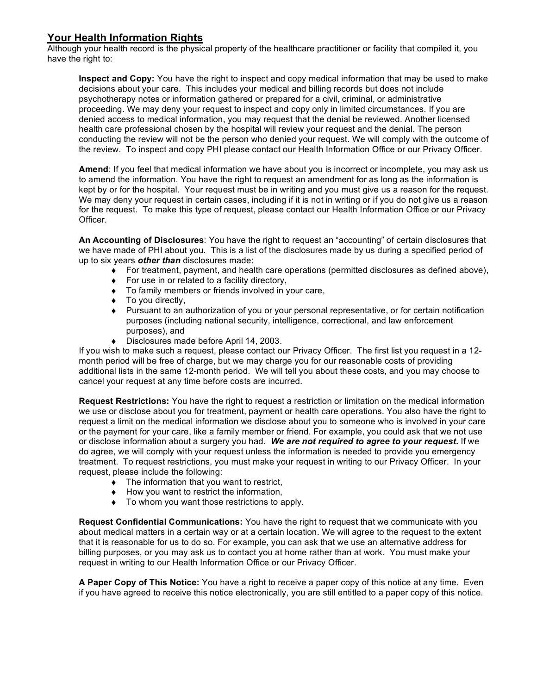## **Your Health Information Rights**

Although your health record is the physical property of the healthcare practitioner or facility that compiled it, you have the right to:

**Inspect and Copy:** You have the right to inspect and copy medical information that may be used to make decisions about your care. This includes your medical and billing records but does not include psychotherapy notes or information gathered or prepared for a civil, criminal, or administrative proceeding. We may deny your request to inspect and copy only in limited circumstances. If you are denied access to medical information, you may request that the denial be reviewed. Another licensed health care professional chosen by the hospital will review your request and the denial. The person conducting the review will not be the person who denied your request. We will comply with the outcome of the review. To inspect and copy PHI please contact our Health Information Office or our Privacy Officer.

**Amend**: If you feel that medical information we have about you is incorrect or incomplete, you may ask us to amend the information. You have the right to request an amendment for as long as the information is kept by or for the hospital. Your request must be in writing and you must give us a reason for the request. We may deny your request in certain cases, including if it is not in writing or if you do not give us a reason for the request. To make this type of request, please contact our Health Information Office or our Privacy Officer.

**An Accounting of Disclosures**: You have the right to request an "accounting" of certain disclosures that we have made of PHI about you. This is a list of the disclosures made by us during a specified period of up to six years *other than* disclosures made:

- ♦ For treatment, payment, and health care operations (permitted disclosures as defined above),
- $\bullet$  For use in or related to a facility directory,
- ♦ To family members or friends involved in your care,
- ♦ To you directly,
- ♦ Pursuant to an authorization of you or your personal representative, or for certain notification purposes (including national security, intelligence, correctional, and law enforcement purposes), and
- ♦ Disclosures made before April 14, 2003.

If you wish to make such a request, please contact our Privacy Officer. The first list you request in a 12 month period will be free of charge, but we may charge you for our reasonable costs of providing additional lists in the same 12-month period. We will tell you about these costs, and you may choose to cancel your request at any time before costs are incurred.

**Request Restrictions:** You have the right to request a restriction or limitation on the medical information we use or disclose about you for treatment, payment or health care operations. You also have the right to request a limit on the medical information we disclose about you to someone who is involved in your care or the payment for your care, like a family member or friend. For example, you could ask that we not use or disclose information about a surgery you had. *We are not required to agree to your request***.** If we do agree, we will comply with your request unless the information is needed to provide you emergency treatment. To request restrictions, you must make your request in writing to our Privacy Officer. In your request, please include the following:

- ♦ The information that you want to restrict,
- ♦ How you want to restrict the information,
- ♦ To whom you want those restrictions to apply.

**Request Confidential Communications:** You have the right to request that we communicate with you about medical matters in a certain way or at a certain location. We will agree to the request to the extent that it is reasonable for us to do so. For example, you can ask that we use an alternative address for billing purposes, or you may ask us to contact you at home rather than at work. You must make your request in writing to our Health Information Office or our Privacy Officer.

**A Paper Copy of This Notice:** You have a right to receive a paper copy of this notice at any time. Even if you have agreed to receive this notice electronically, you are still entitled to a paper copy of this notice.